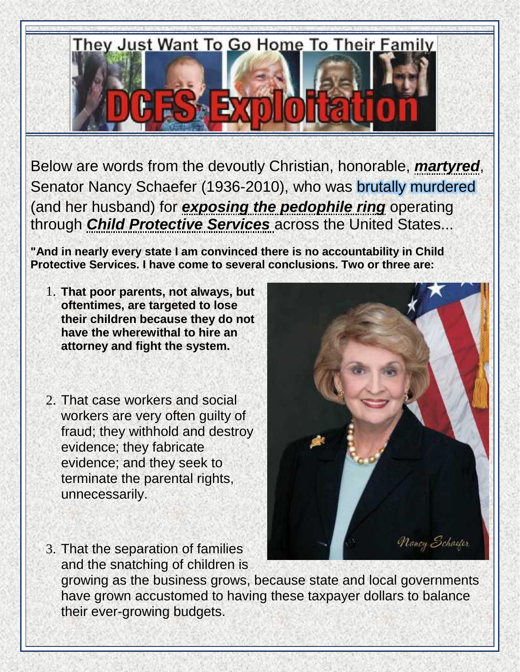

Below are words from the devoutly Christian, honorable, *martyred*, Senator Nancy Schaefer (1936-2010), who was [brutally murdered](https://www.youtube.com/watch?v=w1zrQxbuvFo) (and her husband) for *exposing the pedophile ring* operating through *Child Protective Services* across the United States...

**"And in nearly every state I am convinced there is no accountability in Child Protective Services. I have come to several conclusions. Two or three are:**

- 1. **That poor parents, not always, but oftentimes, are targeted to lose their children because they do not have the wherewithal to hire an attorney and fight the system.**
- 2. That case workers and social workers are very often guilty of fraud; they withhold and destroy evidence; they fabricate evidence; and they seek to terminate the parental rights, unnecessarily.
- 3. That the separation of families and the snatching of children is



growing as the business grows, because state and local governments have grown accustomed to having these taxpayer dollars to balance their ever-growing budgets.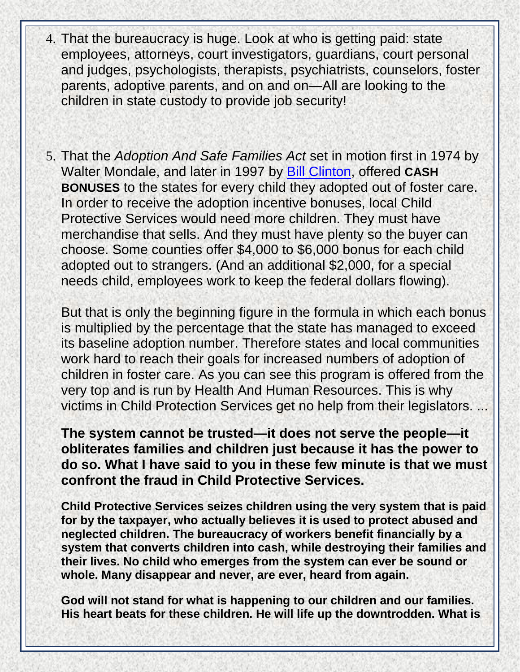- 4. That the bureaucracy is huge. Look at who is getting paid: state employees, attorneys, court investigators, guardians, court personal and judges, psychologists, therapists, psychiatrists, counselors, foster parents, adoptive parents, and on and on—All are looking to the children in state custody to provide job security!
- 5. That the *Adoption And Safe Families Act* set in motion first in 1974 by Walter Mondale, and later in 1997 by [Bill Clinton,](http://www.prisonplanet.com/pedophile-rings-clintons-pedophile-pal.html) offered **CASH BONUSES** to the states for every child they adopted out of foster care. In order to receive the adoption incentive bonuses, local Child Protective Services would need more children. They must have merchandise that sells. And they must have plenty so the buyer can choose. Some counties offer \$4,000 to \$6,000 bonus for each child adopted out to strangers. (And an additional \$2,000, for a special needs child, employees work to keep the federal dollars flowing).

But that is only the beginning figure in the formula in which each bonus is multiplied by the percentage that the state has managed to exceed its baseline adoption number. Therefore states and local communities work hard to reach their goals for increased numbers of adoption of children in foster care. As you can see this program is offered from the very top and is run by Health And Human Resources. This is why victims in Child Protection Services get no help from their legislators. ...

**The system cannot be trusted—it does not serve the people—it obliterates families and children just because it has the power to do so. What I have said to you in these few minute is that we must confront the fraud in Child Protective Services.** 

**Child Protective Services seizes children using the very system that is paid for by the taxpayer, who actually believes it is used to protect abused and neglected children. The bureaucracy of workers benefit financially by a system that converts children into cash, while destroying their families and their lives. No child who emerges from the system can ever be sound or whole. Many disappear and never, are ever, heard from again.** 

**God will not stand for what is happening to our children and our families. His heart beats for these children. He will life up the downtrodden. What is**